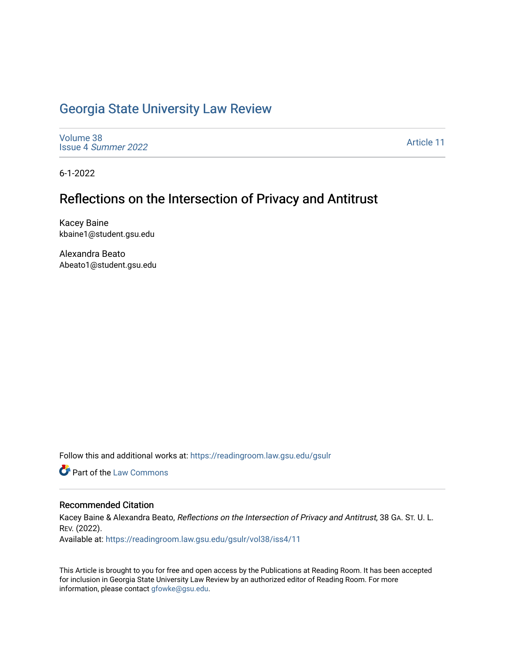## [Georgia State University Law Review](https://readingroom.law.gsu.edu/gsulr)

[Volume 38](https://readingroom.law.gsu.edu/gsulr/vol38) Issue 4 [Summer 2022](https://readingroom.law.gsu.edu/gsulr/vol38/iss4) 

[Article 11](https://readingroom.law.gsu.edu/gsulr/vol38/iss4/11) 

6-1-2022

# Reflections on the Intersection of Privacy and Antitrust

Kacey Baine kbaine1@student.gsu.edu

Alexandra Beato Abeato1@student.gsu.edu

Follow this and additional works at: [https://readingroom.law.gsu.edu/gsulr](https://readingroom.law.gsu.edu/gsulr?utm_source=readingroom.law.gsu.edu%2Fgsulr%2Fvol38%2Fiss4%2F11&utm_medium=PDF&utm_campaign=PDFCoverPages) 

**C** Part of the [Law Commons](https://network.bepress.com/hgg/discipline/578?utm_source=readingroom.law.gsu.edu%2Fgsulr%2Fvol38%2Fiss4%2F11&utm_medium=PDF&utm_campaign=PDFCoverPages)

#### Recommended Citation

Kacey Baine & Alexandra Beato, Reflections on the Intersection of Privacy and Antitrust, 38 GA. ST. U. L. REV. (2022).

Available at: [https://readingroom.law.gsu.edu/gsulr/vol38/iss4/11](https://readingroom.law.gsu.edu/gsulr/vol38/iss4/11?utm_source=readingroom.law.gsu.edu%2Fgsulr%2Fvol38%2Fiss4%2F11&utm_medium=PDF&utm_campaign=PDFCoverPages) 

This Article is brought to you for free and open access by the Publications at Reading Room. It has been accepted for inclusion in Georgia State University Law Review by an authorized editor of Reading Room. For more information, please contact [gfowke@gsu.edu.](mailto:gfowke@gsu.edu)